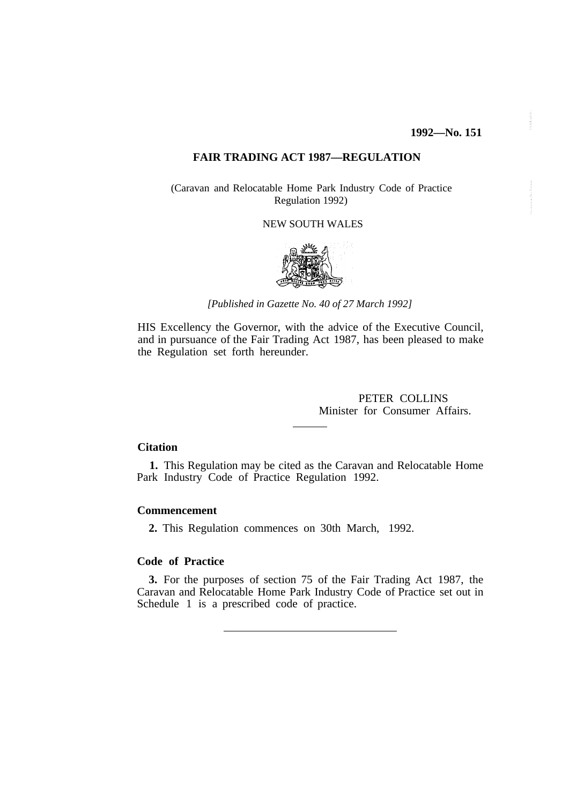# **FAIR TRADING ACT 1987—REGULATION**

(Caravan and Relocatable Home Park Industry Code of Practice Regulation 1992)

## NEW SOUTH WALES



*[Published in Gazette No. 40 of 27 March 1992]*

HIS Excellency the Governor, with the advice of the Executive Council, and in pursuance of the Fair Trading Act 1987, has been pleased to make the Regulation set forth hereunder.

> PETER COLLINS Minister for Consumer Affairs.

## **Citation**

**1.** This Regulation may be cited as the Caravan and Relocatable Home Park Industry Code of Practice Regulation 1992.

## **Commencement**

**2.** This Regulation commences on 30th March, 1992.

# **Code of Practice**

**3.** For the purposes of section 75 of the Fair Trading Act 1987, the Caravan and Relocatable Home Park Industry Code of Practice set out in Schedule 1 is a prescribed code of practice.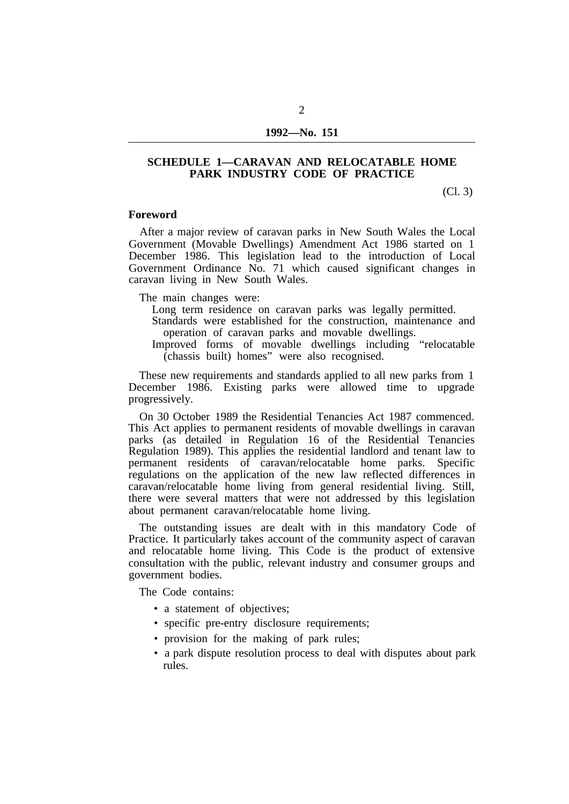# **SCHEDULE 1—CARAVAN AND RELOCATABLE HOME PARK INDUSTRY CODE OF PRACTICE**

(Cl. 3)

### **Foreword**

After a major review of caravan parks in New South Wales the Local Government (Movable Dwellings) Amendment Act 1986 started on 1 December 1986. This legislation lead to the introduction of Local Government Ordinance No. 71 which caused significant changes in caravan living in New South Wales.

The main changes were:

- Long term residence on caravan parks was legally permitted.
- Standards were established for the construction, maintenance and operation of caravan parks and movable dwellings.
- Improved forms of movable dwellings including "relocatable (chassis built) homes" were also recognised.

These new requirements and standards applied to all new parks from 1 December 1986. Existing parks were allowed time to upgrade progressively.

On 30 October 1989 the Residential Tenancies Act 1987 commenced. This Act applies to permanent residents of movable dwellings in caravan parks (as detailed in Regulation 16 of the Residential Tenancies Regulation 1989). This applies the residential landlord and tenant law to permanent residents of caravan/relocatable home parks. Specific regulations on the application of the new law reflected differences in caravan/relocatable home living from general residential living. Still, there were several matters that were not addressed by this legislation about permanent caravan/relocatable home living.

The outstanding issues are dealt with in this mandatory Code of Practice. It particularly takes account of the community aspect of caravan and relocatable home living. This Code is the product of extensive consultation with the public, relevant industry and consumer groups and government bodies.

The Code contains:

- a statement of objectives;
- specific pre-entry disclosure requirements;
- provision for the making of park rules;
- a park dispute resolution process to deal with disputes about park rules.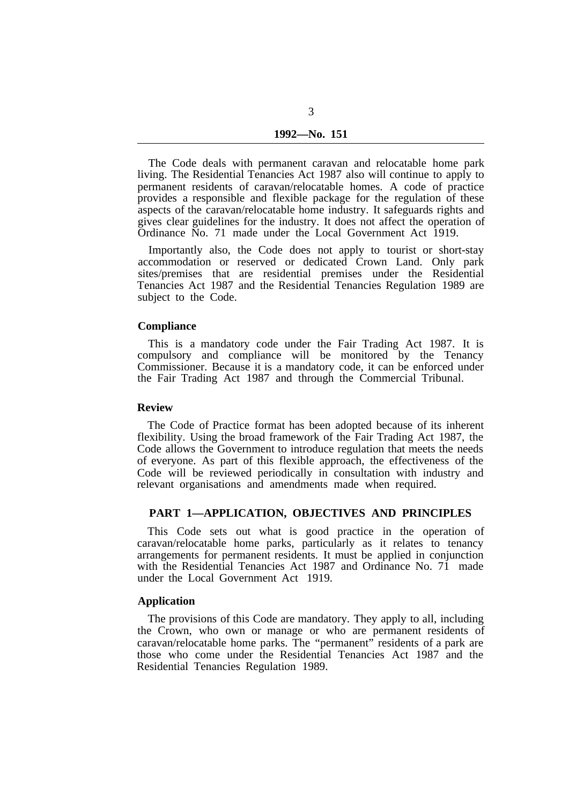The Code deals with permanent caravan and relocatable home park living. The Residential Tenancies Act 1987 also will continue to apply to permanent residents of caravan/relocatable homes. A code of practice provides a responsible and flexible package for the regulation of these aspects of the caravan/relocatable home industry. It safeguards rights and gives clear guidelines for the industry. It does not affect the operation of Ordinance No. 71 made under the Local Government Act 1919.

Importantly also, the Code does not apply to tourist or short-stay accommodation or reserved or dedicated Crown Land. Only park sites/premises that are residential premises under the Residential Tenancies Act 1987 and the Residential Tenancies Regulation 1989 are subject to the Code.

#### **Compliance**

This is a mandatory code under the Fair Trading Act 1987. It is compulsory and compliance will be monitored by the Tenancy Commissioner. Because it is a mandatory code, it can be enforced under the Fair Trading Act 1987 and through the Commercial Tribunal.

#### **Review**

The Code of Practice format has been adopted because of its inherent flexibility. Using the broad framework of the Fair Trading Act 1987, the Code allows the Government to introduce regulation that meets the needs of everyone. As part of this flexible approach, the effectiveness of the Code will be reviewed periodically in consultation with industry and relevant organisations and amendments made when required.

### **PART 1—APPLICATION, OBJECTIVES AND PRINCIPLES**

This Code sets out what is good practice in the operation of caravan/relocatable home parks, particularly as it relates to tenancy arrangements for permanent residents. It must be applied in conjunction with the Residential Tenancies Act 1987 and Ordinance No. 71 made under the Local Government Act 1919.

# **Application**

The provisions of this Code are mandatory. They apply to all, including the Crown, who own or manage or who are permanent residents of caravan/relocatable home parks. The "permanent" residents of a park are those who come under the Residential Tenancies Act 1987 and the Residential Tenancies Regulation 1989.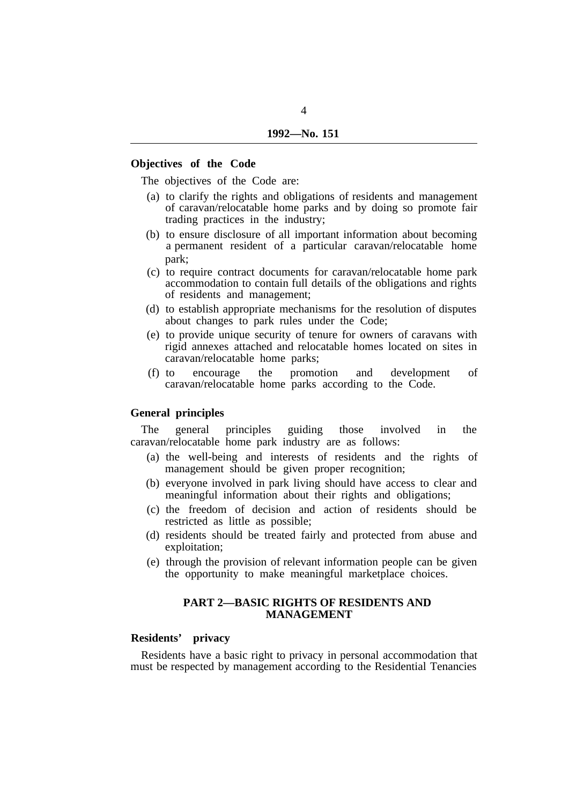## **Objectives of the Code**

The objectives of the Code are:

- (a) to clarify the rights and obligations of residents and management of caravan/relocatable home parks and by doing so promote fair trading practices in the industry;
- (b) to ensure disclosure of all important information about becoming a permanent resident of a particular caravan/relocatable home park;
- (c) to require contract documents for caravan/relocatable home park accommodation to contain full details of the obligations and rights of residents and management;
- (d) to establish appropriate mechanisms for the resolution of disputes about changes to park rules under the Code;
- (e) to provide unique security of tenure for owners of caravans with rigid annexes attached and relocatable homes located on sites in caravan/relocatable home parks;
- (f) to encourage the promotion and development of caravan/relocatable home parks according to the Code.

# **General principles**

The general principles guiding those involved in the caravan/relocatable home park industry are as follows:

- (a) the well-being and interests of residents and the rights of management should be given proper recognition;
- (b) everyone involved in park living should have access to clear and meaningful information about their rights and obligations;
- (c) the freedom of decision and action of residents should be restricted as little as possible;
- (d) residents should be treated fairly and protected from abuse and exploitation;
- (e) through the provision of relevant information people can be given the opportunity to make meaningful marketplace choices.

# **PART 2—BASIC RIGHTS OF RESIDENTS AND MANAGEMENT**

# **Residents' privacy**

Residents have a basic right to privacy in personal accommodation that must be respected by management according to the Residential Tenancies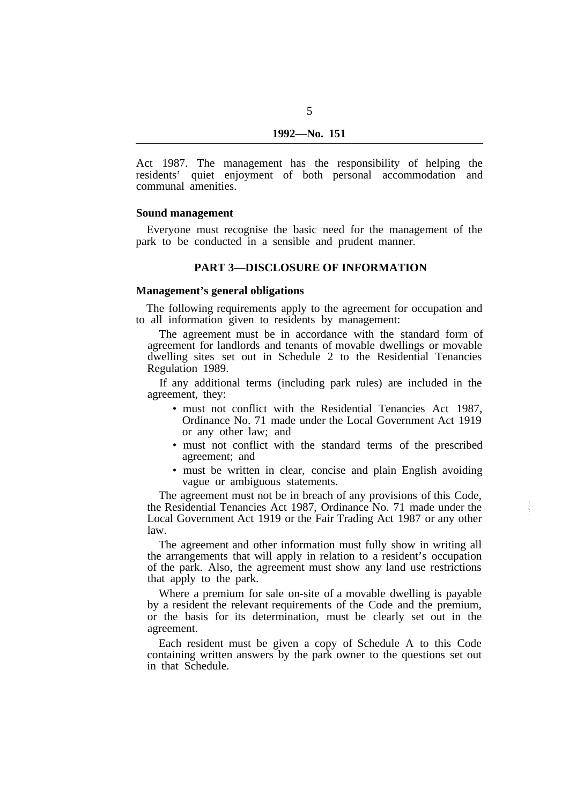Act 1987. The management has the responsibility of helping the residents' quiet enjoyment of both personal accommodation and communal amenities.

### **Sound management**

park to be conducted in a sensible and prudent manner. Everyone must recognise the basic need for the management of the

### **PART 3—DISCLOSURE OF INFORMATION**

### **Management's general obligations**

to all information given to residents by management: The following requirements apply to the agreement for occupation and

The agreement must be in accordance with the standard form of agreement for landlords and tenants of movable dwellings or movable dwelling sites set out in Schedule 2 to the Residential Tenancies Regulation 1989.

If any additional terms (including park rules) are included in the agreement, they:

- must not conflict with the Residential Tenancies Act 1987. Ordinance No. 71 made under the Local Government Act 1919 or any other law; and
- must not conflict with the standard terms of the prescribed agreement; and
- must be written in clear, concise and plain English avoiding vague or ambiguous statements.

The agreement must not be in breach of any provisions of this Code, the Residential Tenancies Act 1987, Ordinance No. 71 made under the Local Government Act 1919 or the Fair Trading Act 1987 or any other law.

The agreement and other information must fully show in writing all the arrangements that will apply in relation to a resident's occupation of the park. Also, the agreement must show any land use restrictions that apply to the park.

Where a premium for sale on-site of a movable dwelling is payable by a resident the relevant requirements of the Code and the premium, or the basis for its determination, must be clearly set out in the agreement.

Each resident must be given a copy of Schedule A to this Code containing written answers by the park owner to the questions set out in that Schedule.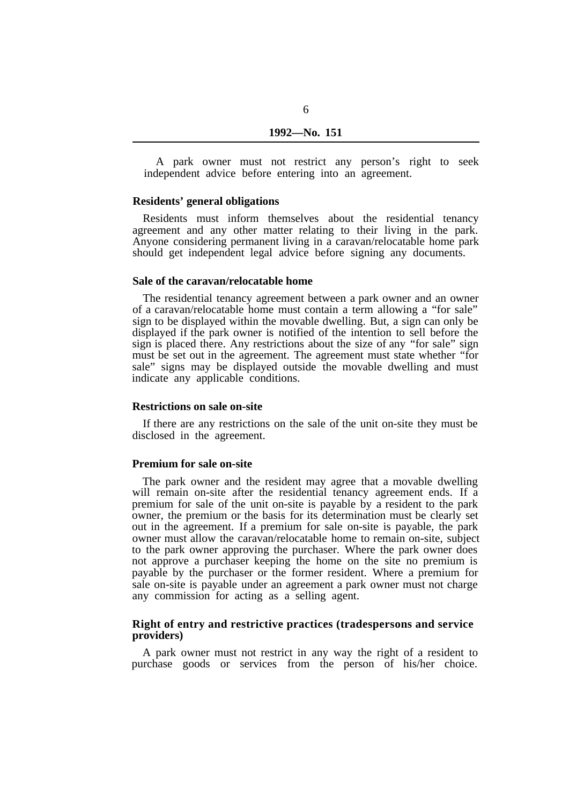A park owner must not restrict any person's right to seek independent advice before entering into an agreement.

## **Residents' general obligations**

Residents must inform themselves about the residential tenancy agreement and any other matter relating to their living in the park. Anyone considering permanent living in a caravan/relocatable home park should get independent legal advice before signing any documents.

#### **Sale of the caravan/relocatable home**

The residential tenancy agreement between a park owner and an owner of a caravan/relocatable home must contain a term allowing a "for sale" sign to be displayed within the movable dwelling. But, a sign can only be displayed if the park owner is notified of the intention to sell before the sign is placed there. Any restrictions about the size of any "for sale" sign must be set out in the agreement. The agreement must state whether "for sale" signs may be displayed outside the movable dwelling and must indicate any applicable conditions.

#### **Restrictions on sale on-site**

If there are any restrictions on the sale of the unit on-site they must be disclosed in the agreement.

### **Premium for sale on-site**

The park owner and the resident may agree that a movable dwelling will remain on-site after the residential tenancy agreement ends. If a premium for sale of the unit on-site is payable by a resident to the park owner, the premium or the basis for its determination must be clearly set out in the agreement. If a premium for sale on-site is payable, the park owner must allow the caravan/relocatable home to remain on-site, subject to the park owner approving the purchaser. Where the park owner does not approve a purchaser keeping the home on the site no premium is payable by the purchaser or the former resident. Where a premium for sale on-site is payable under an agreement a park owner must not charge any commission for acting as a selling agent.

## **Right of entry and restrictive practices (tradespersons and service providers)**

A park owner must not restrict in any way the right of a resident to purchase goods or services from the person of his/her choice.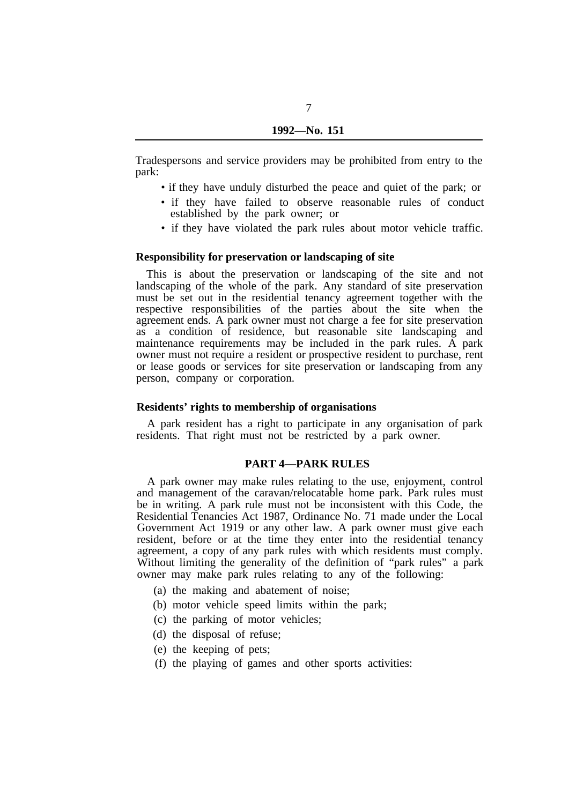7

Tradespersons and service providers may be prohibited from entry to the park:

- if they have unduly disturbed the peace and quiet of the park; or
- if they have failed to observe reasonable rules of conduct established by the park owner; or
- if they have violated the park rules about motor vehicle traffic.

### **Responsibility for preservation or landscaping of site**

This is about the preservation or landscaping of the site and not landscaping of the whole of the park. Any standard of site preservation must be set out in the residential tenancy agreement together with the respective responsibilities of the parties about the site when the agreement ends. A park owner must not charge a fee for site preservation as a condition of residence, but reasonable site landscaping and maintenance requirements may be included in the park rules. A park owner must not require a resident or prospective resident to purchase, rent or lease goods or services for site preservation or landscaping from any person, company or corporation.

### **Residents' rights to membership of organisations**

residents. That right must not be restricted by a park owner. A park resident has a right to participate in any organisation of park

## **PART 4—PARK RULES**

A park owner may make rules relating to the use, enjoyment, control and management of the caravan/relocatable home park. Park rules must be in writing. A park rule must not be inconsistent with this Code, the Residential Tenancies Act 1987, Ordinance No. 71 made under the Local Government Act 1919 or any other law. A park owner must give each resident, before or at the time they enter into the residential tenancy agreement, a copy of any park rules with which residents must comply. Without limiting the generality of the definition of "park rules" a park owner may make park rules relating to any of the following:

- (a) the making and abatement of noise;
- (b) motor vehicle speed limits within the park;
- (c) the parking of motor vehicles;
- (d) the disposal of refuse;
- (e) the keeping of pets;
- (f) the playing of games and other sports activities: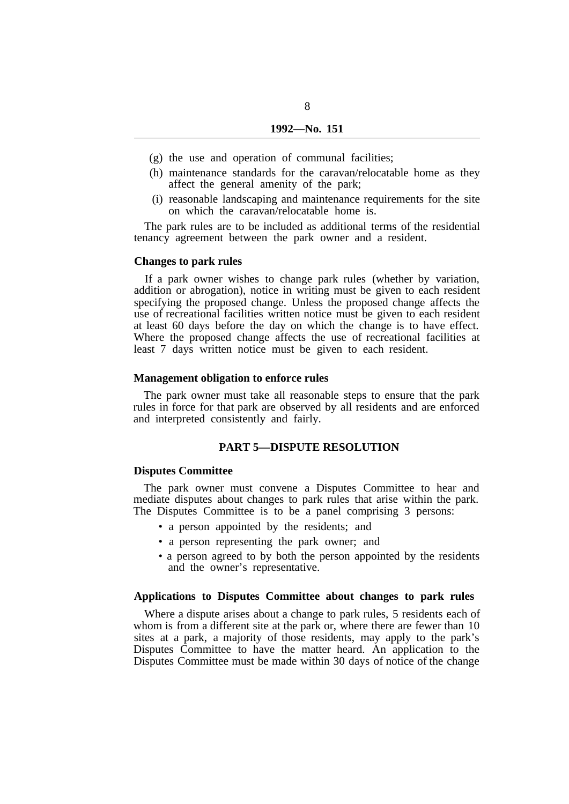8

- (g) the use and operation of communal facilities;
- (h) maintenance standards for the caravan/relocatable home as they affect the general amenity of the park;
- (i) reasonable landscaping and maintenance requirements for the site on which the caravan/relocatable home is.

The park rules are to be included as additional terms of the residential tenancy agreement between the park owner and a resident.

#### **Changes to park rules**

If a park owner wishes to change park rules (whether by variation, addition or abrogation), notice in writing must be given to each resident specifying the proposed change. Unless the proposed change affects the use of recreational facilities written notice must be given to each resident at least 60 days before the day on which the change is to have effect. Where the proposed change affects the use of recreational facilities at least 7 days written notice must be given to each resident.

### **Management obligation to enforce rules**

The park owner must take all reasonable steps to ensure that the park rules in force for that park are observed by all residents and are enforced and interpreted consistently and fairly.

## **PART 5—DISPUTE RESOLUTION**

#### **Disputes Committee**

The park owner must convene a Disputes Committee to hear and mediate disputes about changes to park rules that arise within the park. The Disputes Committee is to be a panel comprising 3 persons:

- a person appointed by the residents; and
- a person representing the park owner; and
- a person agreed to by both the person appointed by the residents and the owner's representative.

## **Applications to Disputes Committee about changes to park rules**

Where a dispute arises about a change to park rules, 5 residents each of whom is from a different site at the park or, where there are fewer than 10 sites at a park, a majority of those residents, may apply to the park's Disputes Committee to have the matter heard. An application to the Disputes Committee must be made within 30 days of notice of the change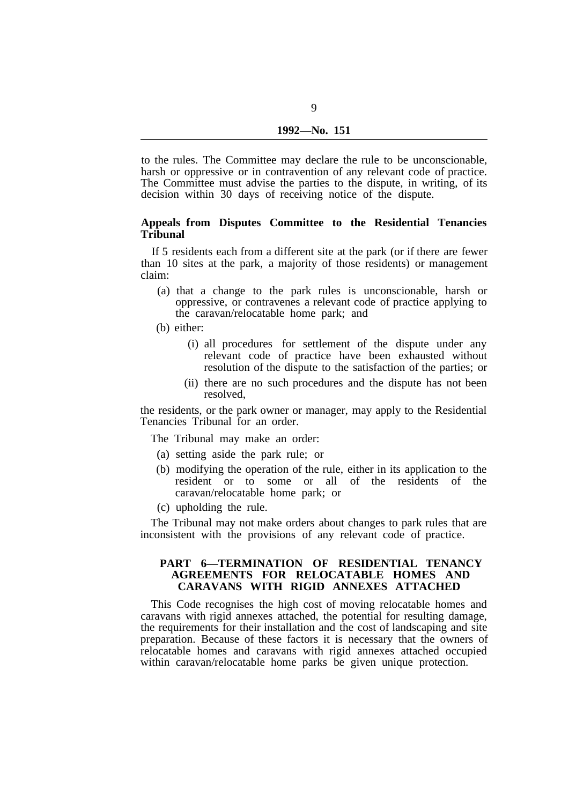to the rules. The Committee may declare the rule to be unconscionable, harsh or oppressive or in contravention of any relevant code of practice. The Committee must advise the parties to the dispute, in writing, of its decision within 30 days of receiving notice of the dispute.

### **Appeals from Disputes Committee to the Residential Tenancies Tribunal**

If 5 residents each from a different site at the park (or if there are fewer than 10 sites at the park, a majority of those residents) or management claim:

- (a) that a change to the park rules is unconscionable, harsh or oppressive, or contravenes a relevant code of practice applying to the caravan/relocatable home park; and
- (b) either:
	- (i) all procedures for settlement of the dispute under any relevant code of practice have been exhausted without resolution of the dispute to the satisfaction of the parties; or
	- (ii) there are no such procedures and the dispute has not been resolved,

the residents, or the park owner or manager, may apply to the Residential Tenancies Tribunal for an order.

The Tribunal may make an order:

- (a) setting aside the park rule; or
- (b) modifying the operation of the rule, either in its application to the resident or to some or all of the residents of the caravan/relocatable home park; or
- (c) upholding the rule.

The Tribunal may not make orders about changes to park rules that are inconsistent with the provisions of any relevant code of practice.

## **PART 6—TERMINATION OF RESIDENTIAL TENANCY AGREEMENTS FOR RELOCATABLE HOMES AND CARAVANS WITH RIGID ANNEXES ATTACHED**

This Code recognises the high cost of moving relocatable homes and caravans with rigid annexes attached, the potential for resulting damage, the requirements for their installation and the cost of landscaping and site preparation. Because of these factors it is necessary that the owners of relocatable homes and caravans with rigid annexes attached occupied within caravan/relocatable home parks be given unique protection.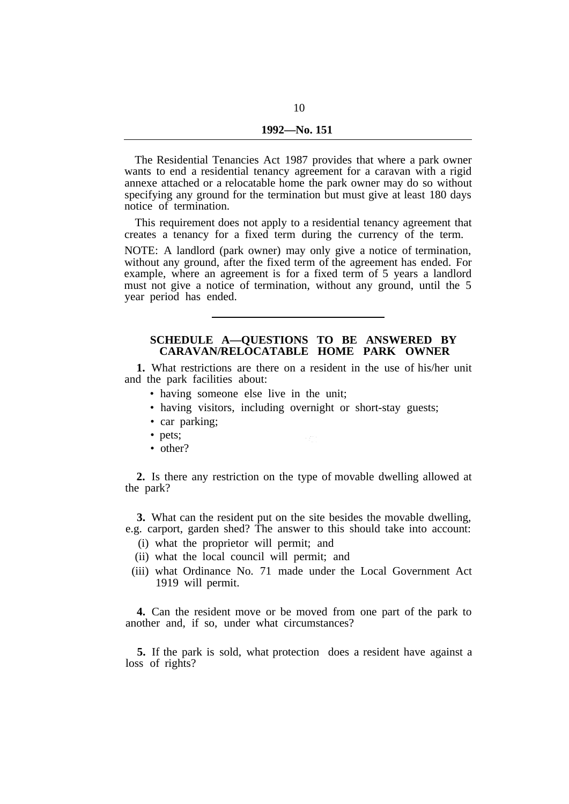The Residential Tenancies Act 1987 provides that where a park owner wants to end a residential tenancy agreement for a caravan with a rigid annexe attached or a relocatable home the park owner may do so without specifying any ground for the termination but must give at least 180 days notice of termination.

This requirement does not apply to a residential tenancy agreement that creates a tenancy for a fixed term during the currency of the term.

NOTE: A landlord (park owner) may only give a notice of termination, without any ground, after the fixed term of the agreement has ended. For example, where an agreement is for a fixed term of 5 years a landlord must not give a notice of termination, without any ground, until the 5 year period has ended.

# **SCHEDULE A—QUESTIONS TO BE ANSWERED BY CARAVAN/RELOCATABLE HOME PARK OWNER**

**1.** What restrictions are there on a resident in the use of his/her unit and the park facilities about:

- having someone else live in the unit;
- having visitors, including overnight or short-stay guests;
- car parking;
- pets;
- other?

**2.** Is there any restriction on the type of movable dwelling allowed at the park?

**3.** What can the resident put on the site besides the movable dwelling, e.g. carport, garden shed? The answer to this should take into account:

- (i) what the proprietor will permit; and
- (ii) what the local council will permit; and
- (iii) what Ordinance No. 71 made under the Local Government Act 1919 will permit.

**4.** Can the resident move or be moved from one part of the park to another and, if so, under what circumstances?

**5.** If the park is sold, what protection does a resident have against a loss of rights?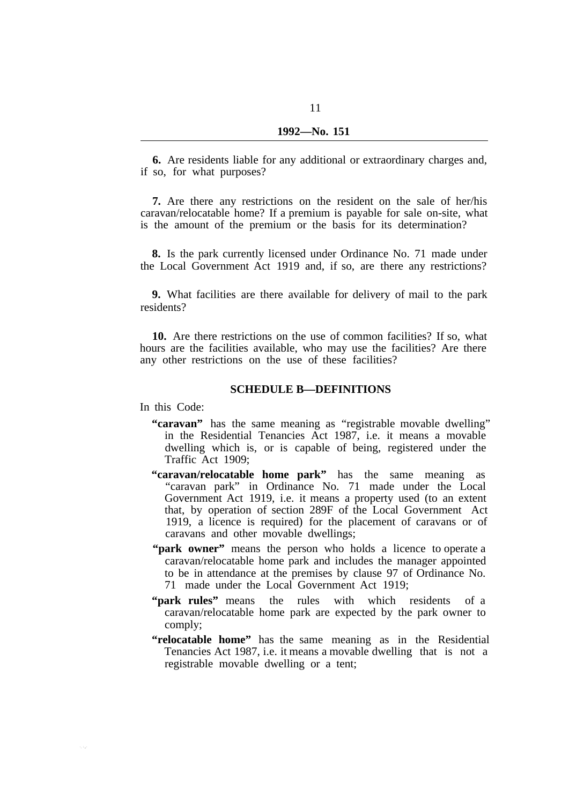**6.** Are residents liable for any additional or extraordinary charges and, if so, for what purposes?

**7.** Are there any restrictions on the resident on the sale of her/his caravan/relocatable home? If a premium is payable for sale on-site, what is the amount of the premium or the basis for its determination?

**8.** Is the park currently licensed under Ordinance No. 71 made under the Local Government Act 1919 and, if so, are there any restrictions?

**9.** What facilities are there available for delivery of mail to the park residents?

**10.** Are there restrictions on the use of common facilities? If so, what hours are the facilities available, who may use the facilities? Are there any other restrictions on the use of these facilities?

## **SCHEDULE B—DEFINITIONS**

In this Code:

- **"caravan"** has the same meaning as "registrable movable dwelling" in the Residential Tenancies Act 1987, i.e. it means a movable dwelling which is, or is capable of being, registered under the Traffic Act 1909;
- **"caravan/relocatable home park"** has the same meaning as "caravan park" in Ordinance No. 71 made under the Local Government Act 1919, i.e. it means a property used (to an extent that, by operation of section 289F of the Local Government Act 1919, a licence is required) for the placement of caravans or of caravans and other movable dwellings;
- **"park owner"** means the person who holds a licence to operate a caravan/relocatable home park and includes the manager appointed to be in attendance at the premises by clause 97 of Ordinance No. 71 made under the Local Government Act 1919;
- **"park rules"** means the rules with which residents of a caravan/relocatable home park are expected by the park owner to comply;
- **"relocatable home"** has the same meaning as in the Residential Tenancies Act 1987, i.e. it means a movable dwelling that is not a registrable movable dwelling or a tent;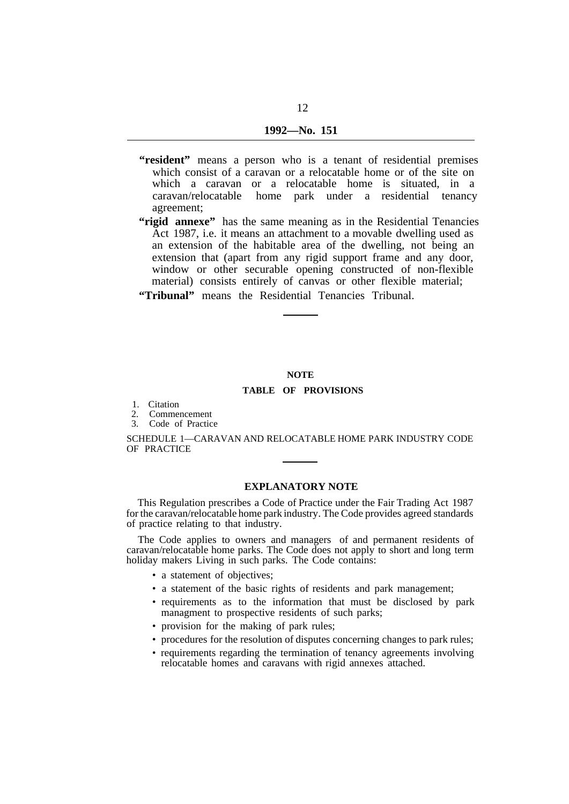- **"resident"** means a person who is a tenant of residential premises which consist of a caravan or a relocatable home or of the site on which a caravan or a relocatable home is situated, in a caravan/relocatable home park under a residential tenancy agreement;
- "rigid annexe" has the same meaning as in the Residential Tenancies Act 1987, i.e. it means an attachment to a movable dwelling used as an extension of the habitable area of the dwelling, not being an extension that (apart from any rigid support frame and any door, window or other securable opening constructed of non-flexible material) consists entirely of canvas or other flexible material;
- **"Tribunal"** means the Residential Tenancies Tribunal.

### **NOTE**

#### **TABLE OF PROVISIONS**

- 1. Citation
- 2. Commencement
- 3. Code of Practice

SCHEDULE 1—CARAVAN AND RELOCATABLE HOME PARK INDUSTRY CODE OF PRACTICE

## **EXPLANATORY NOTE**

This Regulation prescribes a Code of Practice under the Fair Trading Act 1987 for the caravan/relocatable home park industry. The Code provides agreed standards of practice relating to that industry.

The Code applies to owners and managers of and permanent residents of caravan/relocatable home parks. The Code does not apply to short and long term holiday makers Living in such parks. The Code contains:

- a statement of objectives;
- a statement of the basic rights of residents and park management;
- requirements as to the information that must be disclosed by park managment to prospective residents of such parks;
- provision for the making of park rules;
- procedures for the resolution of disputes concerning changes to park rules;
- requirements regarding the termination of tenancy agreements involving relocatable homes and caravans with rigid annexes attached.